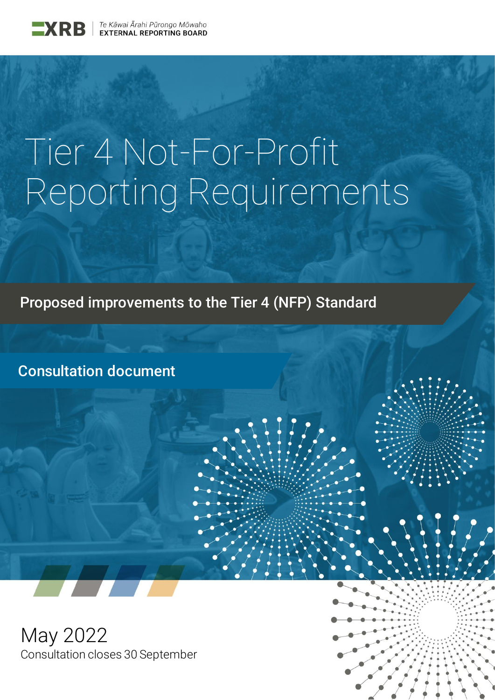

# Tier 4 Not-For-Profit Reporting Requirements

Proposed improvements to the Tier 4 (NFP) Standard

Consultation document

May 2022 Consultation closes 30 September

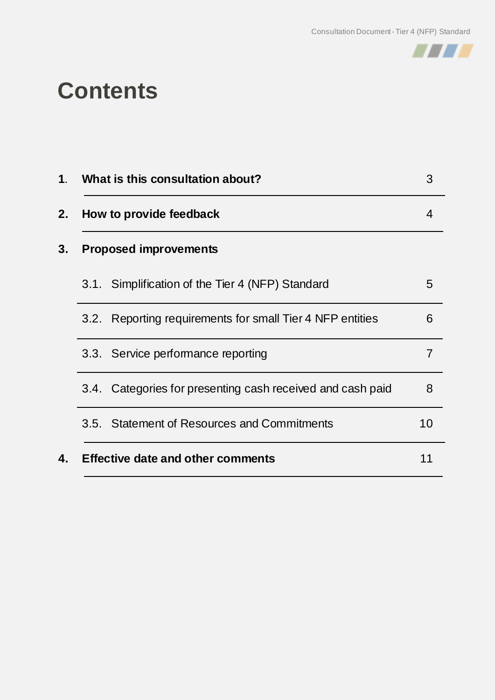

### **Contents**

| What is this consultation about?                           | 3  |
|------------------------------------------------------------|----|
| How to provide feedback                                    | 4  |
| <b>Proposed improvements</b>                               |    |
| 3.1. Simplification of the Tier 4 (NFP) Standard           | 5  |
| 3.2. Reporting requirements for small Tier 4 NFP entities  | 6  |
| 3.3. Service performance reporting                         |    |
| 3.4. Categories for presenting cash received and cash paid | 8  |
| 3.5. Statement of Resources and Commitments                | 10 |
| <b>Effective date and other comments</b>                   |    |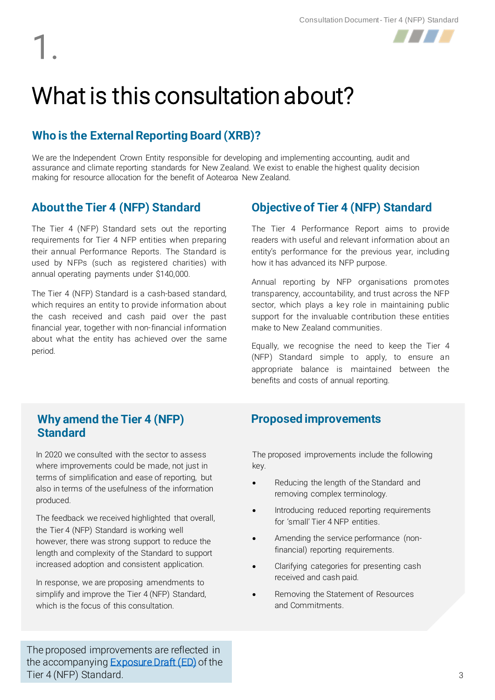1.



## What is this consultation about?

#### **Who is the External Reporting Board (XRB)?**

We are the Independent Crown Entity responsible for developing and implementing accounting, audit and assurance and climate reporting standards for New Zealand. We exist to enable the highest quality decision making for resource allocation for the benefit of Aotearoa New Zealand.

#### **About the Tier 4 (NFP) Standard**

The Tier 4 (NFP) Standard sets out the reporting requirements for Tier 4 NFP entities when preparing their annual Performance Reports. The Standard is used by NFPs (such as registered charities) with annual operating payments under \$140,000.

The Tier 4 (NFP) Standard is a cash-based standard, which requires an entity to provide information about the cash received and cash paid over the past financial year, together with non-financial information about what the entity has achieved over the same period.

#### **Objective of Tier 4 (NFP) Standard**

The Tier 4 Performance Report aims to provide readers with useful and relevant information about an entity's performance for the previous year, including how it has advanced its NFP purpose.

Annual reporting by NFP organisations promotes transparency, accountability, and trust across the NFP sector, which plays a key role in maintaining public support for the invaluable contribution these entities make to New Zealand communities.

Equally, we recognise the need to keep the Tier 4 (NFP) Standard simple to apply, to ensure an appropriate balance is maintained between the benefits and costs of annual reporting.

#### **Why amend the Tier 4 (NFP) Standard**

In 2020 we consulted with the sector to assess where improvements could be made, not just in terms of simplification and ease of reporting, but also in terms of the usefulness of the information produced.

The feedback we received highlighted that overall, the Tier 4 (NFP) Standard is working well however, there was strong support to reduce the length and complexity of the Standard to support increased adoption and consistent application.

In response, we are proposing amendments to simplify and improve the Tier 4 (NFP) Standard, which is the focus of this consultation.

#### **Proposed improvements**

The proposed improvements include the following key.

- Reducing the length of the Standard and removing complex terminology.
- Introducing reduced reporting requirements for 'small' Tier 4 NFP entities.
- Amending the service performance (nonfinancial) reporting requirements.
- Clarifying categories for presenting cash received and cash paid.
- Removing the Statement of Resources and Commitments.

The proposed improvements are reflected in the accompanying **Exposure Draft (ED)** of the Tier 4 (NFP) Standard.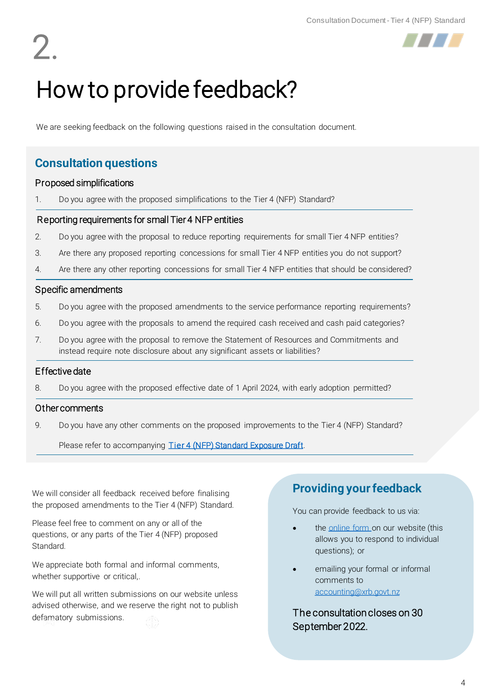2.



## How to provide feedback?

We are seeking feedback on the following questions raised in the consultation document.

#### **Consultation questions**

#### Proposed simplifications

1. Do you agree with the proposed simplifications to the Tier 4 (NFP) Standard?

#### Reporting requirements for small Tier 4 NFP entities

- 2. Do you agree with the proposal to reduce reporting requirements for small Tier 4 NFP entities?
- 3. Are there any proposed reporting concessions for small Tier 4 NFP entities you do not support?
- 4. Are there any other reporting concessions for small Tier 4 NFP entities that should be considered?

#### Specific amendments

- 5. Do you agree with the proposed amendments to the service performance reporting requirements?
- 6. Do you agree with the proposals to amend the required cash received and cash paid categories?
- 7. Do you agree with the proposal to remove the Statement of Resources and Commitments and instead require note disclosure about any significant assets or liabilities?

#### Effective date

8. Do you agree with the proposed effective date of 1 April 2024, with early adoption permitted?

#### Other comments

9. Do you have any other comments on the proposed improvements to the Tier 4 (NFP) Standard?

Please refer to accompanying [Tier 4 \(NFP\) Standard Exposure Draft.](https://www.xrb.govt.nz/assets/Accounting/Exposure-Drafts/696d850255/ED-Tier-4-NFP-Standard-May-2022.pdf)

We will consider all feedback received before finalising the proposed amendments to the Tier 4 (NFP) Standard.

Please feel free to comment on any or all of the questions, or any parts of the Tier 4 (NFP) proposed Standard.

We appreciate both formal and informal comments, whether supportive or critical,.

We will put all written submissions on our website unless advised otherwise, and we reserve the right not to publish defamatory submissions.

#### **Providing your feedback**

You can provide feedback to us via:

- the [online form o](https://www.xrb.govt.nz/consultations/accounting-standards-open-for-consultation/tier-4-reporting)n our website (this allows you to respond to individual questions); or
- emailing your formal or informal comments to [accounting@xrb.govt.nz](mailto:accounting@xrb.govt.nz)

The consultation closes on 30 September 2022.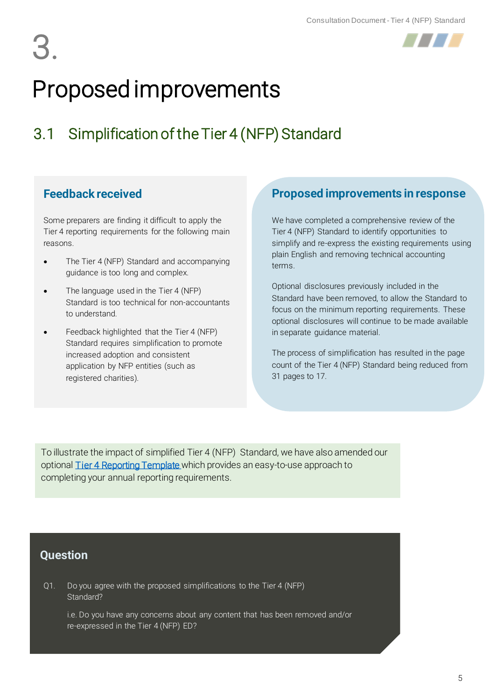



### 3.1 Simplification of the Tier 4 (NFP) Standard

#### **Feedback received**

Some preparers are finding it difficult to apply the Tier 4 reporting requirements for the following main reasons.

- The Tier 4 (NFP) Standard and accompanying guidance is too long and complex.
- The language used in the Tier 4 (NFP) Standard is too technical for non-accountants to understand.
- Feedback highlighted that the Tier 4 (NFP) Standard requires simplification to promote increased adoption and consistent application by NFP entities (such as registered charities).

#### **Proposed improvements in response**

We have completed a comprehensive review of the Tier 4 (NFP) Standard to identify opportunities to simplify and re-express the existing requirements using plain English and removing technical accounting terms.

Optional disclosures previously included in the Standard have been removed, to allow the Standard to focus on the minimum reporting requirements. These optional disclosures will continue to be made available in separate guidance material.

The process of simplification has resulted in the page count of the Tier 4 (NFP) Standard being reduced from 31 pages to 17.

To illustrate the impact of simplified Tier 4 (NFP) Standard, we have also amended our optional [Tier 4 Reporting Template](https://www.xrb.govt.nz/consultations/accounting-standards-open-for-consultation/tier-4-reporting) which provides an easy-to-use approach to completing your annual reporting requirements.

#### **Question**

Q1. Do you agree with the proposed simplifications to the Tier 4 (NFP) Standard?

i.e. Do you have any concerns about any content that has been removed and/or re-expressed in the Tier 4 (NFP) ED?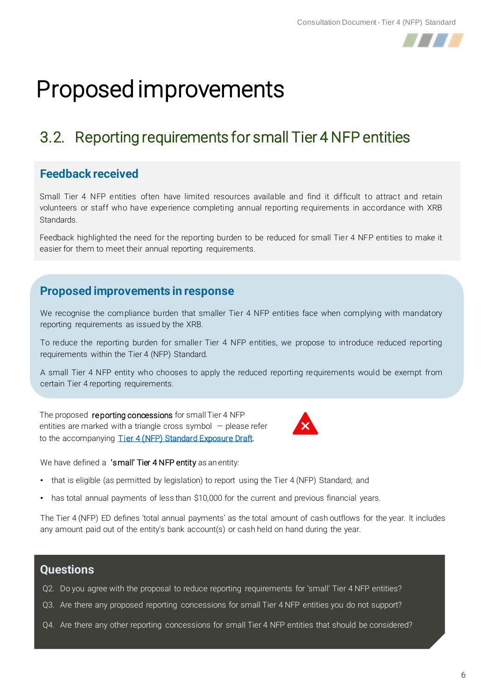

### 3.2. Reporting requirements for small Tier 4 NFP entities

#### **Feedback received**

Small Tier 4 NFP entities often have limited resources available and find it difficult to attract and retain volunteers or staff who have experience completing annual reporting requirements in accordance with XRB Standards.

Feedback highlighted the need for the reporting burden to be reduced for small Tier 4 NFP entities to make it easier for them to meet their annual reporting requirements.

#### **Proposed improvements in response**

We recognise the compliance burden that smaller Tier 4 NFP entities face when complying with mandatory reporting requirements as issued by the XRB.

To reduce the reporting burden for smaller Tier 4 NFP entities, we propose to introduce reduced reporting requirements within the Tier 4 (NFP) Standard.

A small Tier 4 NFP entity who chooses to apply the reduced reporting requirements would be exempt from certain Tier 4 reporting requirements.

The proposed reporting concessions for small Tier 4 NFP entities are marked with a triangle cross symbol  $-$  please refer to the accompanying [Tier 4 \(NFP\) Standard Exposure Draft.](https://www.xrb.govt.nz/assets/Accounting/Exposure-Drafts/696d850255/ED-Tier-4-NFP-Standard-May-2022.pdf)



We have defined a 'small' Tier 4 NFP entity as an entity:

- that is eligible (as permitted by legislation) to report using the Tier 4 (NFP) Standard; and
- has total annual payments of less than \$10,000 for the current and previous financial years.

The Tier 4 (NFP) ED defines 'total annual payments' as the total amount of cash outflows for the year. It includes any amount paid out of the entity's bank account(s) or cash held on hand during the year.

#### **Questions**

- Q2. Do you agree with the proposal to reduce reporting requirements for 'small' Tier 4 NFP entities?
- Q3. Are there any proposed reporting concessions for small Tier 4 NFP entities you do not support?
- Q4. Are there any other reporting concessions for small Tier 4 NFP entities that should be considered?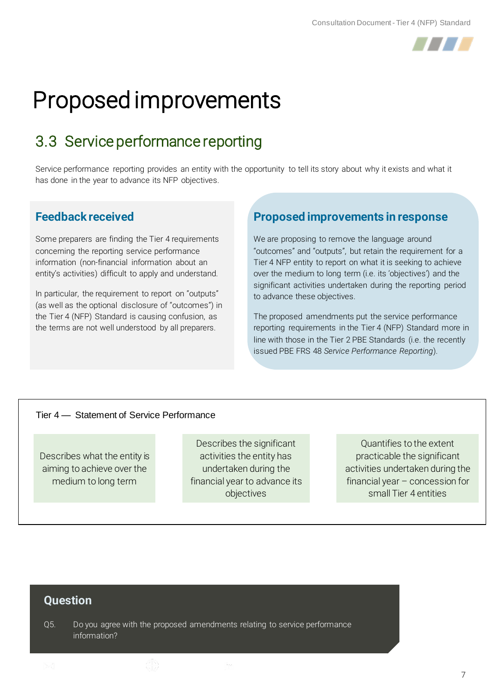

### 3.3 Service performance reporting

Service performance reporting provides an entity with the opportunity to tell its story about why it exists and what it has done in the year to advance its NFP objectives.

#### **Feedback received**

Some preparers are finding the Tier 4 requirements concerning the reporting service performance information (non-financial information about an entity's activities) difficult to apply and understand.

In particular, the requirement to report on "outputs" (as well as the optional disclosure of "outcomes") in the Tier 4 (NFP) Standard is causing confusion, as the terms are not well understood by all preparers.

#### **Proposed improvements in response**

We are proposing to remove the language around "outcomes" and "outputs", but retain the requirement for a Tier 4 NFP entity to report on what it is seeking to achieve over the medium to long term (i.e. its 'objectives') and the significant activities undertaken during the reporting period to advance these objectives.

The proposed amendments put the service performance reporting requirements in the Tier 4 (NFP) Standard more in line with those in the Tier 2 PBE Standards (i.e. the recently issued PBE FRS 48 *Service Performance Reporting*).

#### Tier 4 — Statement of Service Performance

Describes what the entity is aiming to achieve over the medium to long term

Describes the significant activities the entity has undertaken during the financial year to advance its objectives

Quantifies to the extent practicable the significant activities undertaken during the financial year – concession for small Tier 4 entities

#### **Question**

Q5. Do you agree with the proposed amendments relating to service performance information?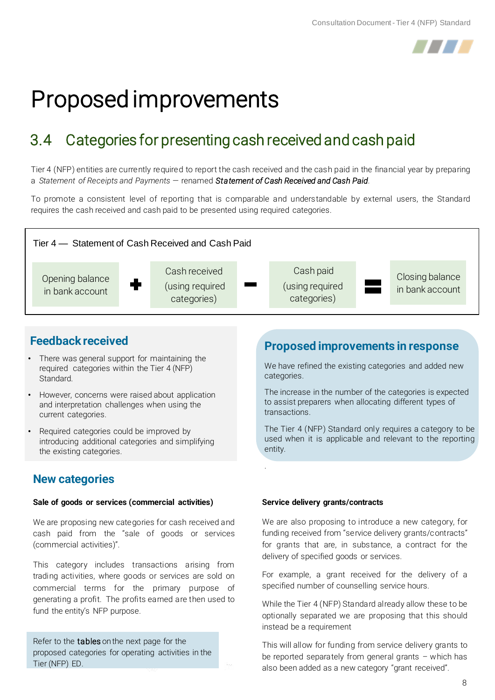

### 3.4 Categories for presenting cash received and cash paid

Tier 4 (NFP) entities are currently required to report the cash received and the cash paid in the financial year by preparing a *Statement of Receipts and Payments* — renamed *Statement of Cash Received and Cash Paid*.

To promote a consistent level of reporting that is comparable and understandable by external users, the Standard requires the cash received and cash paid to be presented using required categories.



.

#### **Feedback received**

- There was general support for maintaining the required categories within the Tier 4 (NFP) Standard.
- However, concerns were raised about application and interpretation challenges when using the current categories.
- Required categories could be improved by introducing additional categories and simplifying the existing categories.

#### **New categories**

#### **Sale of goods or services (commercial activities)**

We are proposing new categories for cash received and cash paid from the "sale of goods or services (commercial activities)".

This category includes transactions arising from trading activities, where goods or services are sold on commercial terms for the primary purpose of generating a profit. The profits earned are then used to fund the entity's NFP purpose.

Refer to the **tables** on the next page for the proposed categories for operating activities in the Tier (NFP) ED.

#### **Proposed improvements in response**

We have refined the existing categories and added new categories.

The increase in the number of the categories is expected to assist preparers when allocating different types of transactions.

The Tier 4 (NFP) Standard only requires a category to be used when it is applicable and relevant to the reporting entity.

#### **Service delivery grants/contracts**

We are also proposing to introduce a new category, for funding received from "service delivery grants/contracts" for grants that are, in substance, a contract for the delivery of specified goods or services.

For example, a grant received for the delivery of a specified number of counselling service hours.

While the Tier 4 (NFP) Standard already allow these to be optionally separated we are proposing that this should instead be a requirement

This will allow for funding from service delivery grants to be reported separately from general grants – which has also been added as a new category "grant received".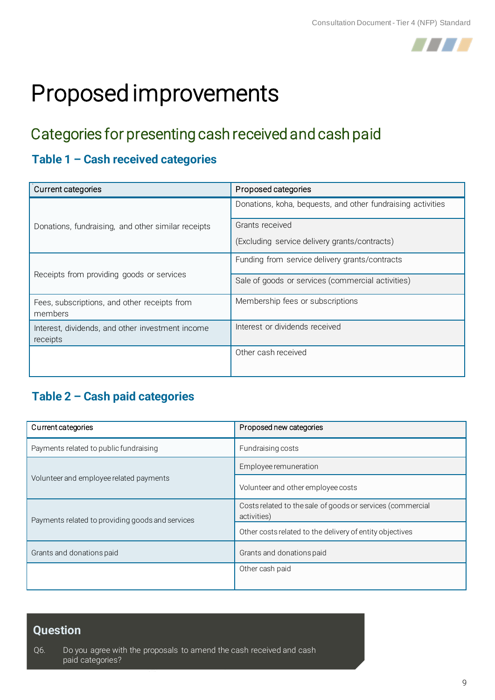

### Categories for presenting cash received and cash paid

#### **Table 1 – Cash received categories**

| Current categories                                           | Proposed categories                                         |
|--------------------------------------------------------------|-------------------------------------------------------------|
|                                                              | Donations, koha, bequests, and other fundraising activities |
| Donations, fundraising, and other similar receipts           | Grants received                                             |
|                                                              | (Excluding service delivery grants/contracts)               |
| Receipts from providing goods or services                    | Funding from service delivery grants/contracts              |
|                                                              | Sale of goods or services (commercial activities)           |
| Fees, subscriptions, and other receipts from<br>members      | Membership fees or subscriptions                            |
| Interest, dividends, and other investment income<br>receipts | Interest or dividends received                              |
|                                                              | Other cash received                                         |

#### **Table 2 – Cash paid categories**

| Current categories                               | Proposed new categories                                                   |
|--------------------------------------------------|---------------------------------------------------------------------------|
| Payments related to public fundraising           | Fundraising costs                                                         |
| Volunteer and employee related payments          | Employee remuneration                                                     |
|                                                  | Volunteer and other employee costs                                        |
| Payments related to providing goods and services | Costs related to the sale of goods or services (commercial<br>activities) |
|                                                  | Other costs related to the delivery of entity objectives                  |
| Grants and donations paid                        | Grants and donations paid                                                 |
|                                                  | Other cash paid                                                           |

#### **Question**

Q6. Do you agree with the proposals to amend the cash received and cash paid categories?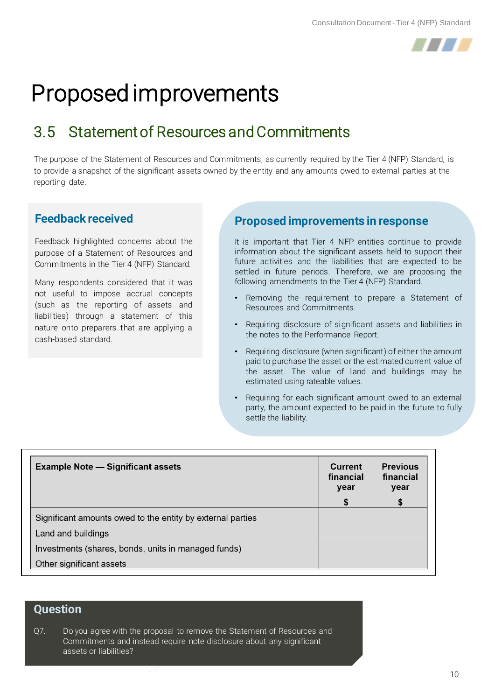

### 3.5 Statement of Resources and Commitments

The purpose of the Statement of Resources and Commitments, as currently required by the Tier 4 (NFP) Standard, is to provide a snapshot of the significant assets owned by the entity and any amounts owed to external parties at the reporting date.

#### **Feedback received**

Feedback highlighted concerns about the purpose of a Statement of Resources and Commitments in the Tier 4 (NFP) Standard.

Many respondents considered that it was not useful to impose accrual concepts (such as the reporting of assets and liabilities) through a statement of this nature onto preparers that are applying a cash-based standard.

#### **Proposed improvements in response**

It is important that Tier 4 NFP entities continue to provide information about the significant assets held to support their future activities and the liabilities that are expected to be settled in future periods. Therefore, we are proposing the following amendments to the Tier 4 (NFP) Standard.

- Removing the requirement to prepare a Statement of Resources and Commitments.
- Requiring disclosure of significant assets and liabilities in the notes to the Performance Report.
- Requiring disclosure (when significant) of either the amount paid to purchase the asset or the estimated current value of the asset. The value of land and buildings may be estimated using rateable values.
- Requiring for each significant amount owed to an external party, the amount expected to be paid in the future to fully settle the liability.

| <b>Example Note — Significant assets</b>                   | <b>Current</b><br>financial<br>year | <b>Previous</b><br>financial<br>year |
|------------------------------------------------------------|-------------------------------------|--------------------------------------|
|                                                            | S                                   |                                      |
| Significant amounts owed to the entity by external parties |                                     |                                      |
| Land and buildings                                         |                                     |                                      |
| Investments (shares, bonds, units in managed funds)        |                                     |                                      |
| Other significant assets                                   |                                     |                                      |

#### **Question**

Q7. Do you agree with the proposal to remove the Statement of Resources and Commitments and instead require note disclosure about any significant assets or liabilities?